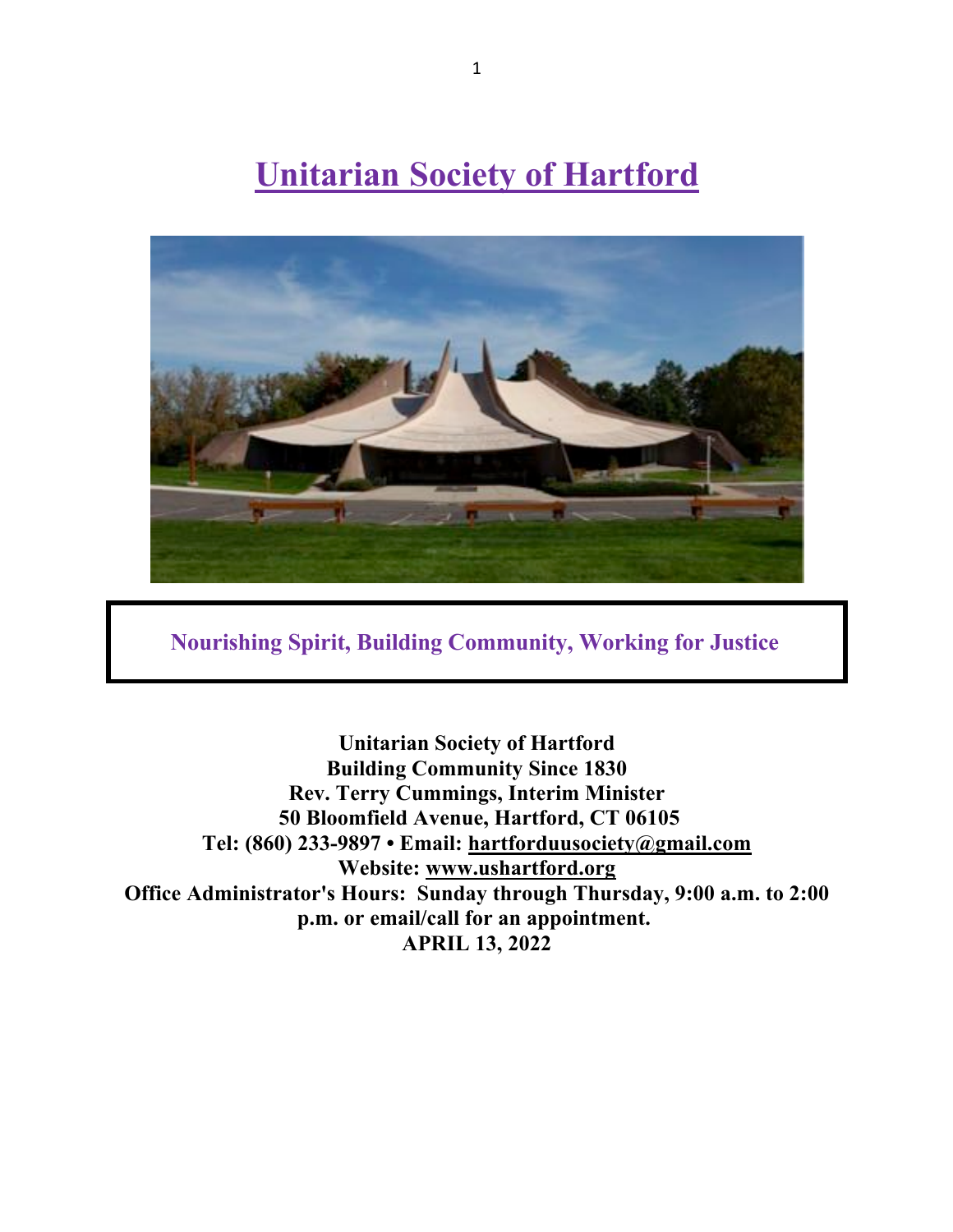# **Unitarian Society of Hartford**



**Nourishing Spirit, Building Community, Working for Justice**

**Unitarian Society of Hartford Building Community Since 1830 Rev. Terry Cummings, Interim Minister 50 Bloomfield Avenue, Hartford, CT 06105 Tel: (860) 233-9897 • Email: hartforduusociety@gmail.com Website: www.ushartford.org Office Administrator's Hours: Sunday through Thursday, 9:00 a.m. to 2:00 p.m. or email/call for an appointment. APRIL 13, 2022**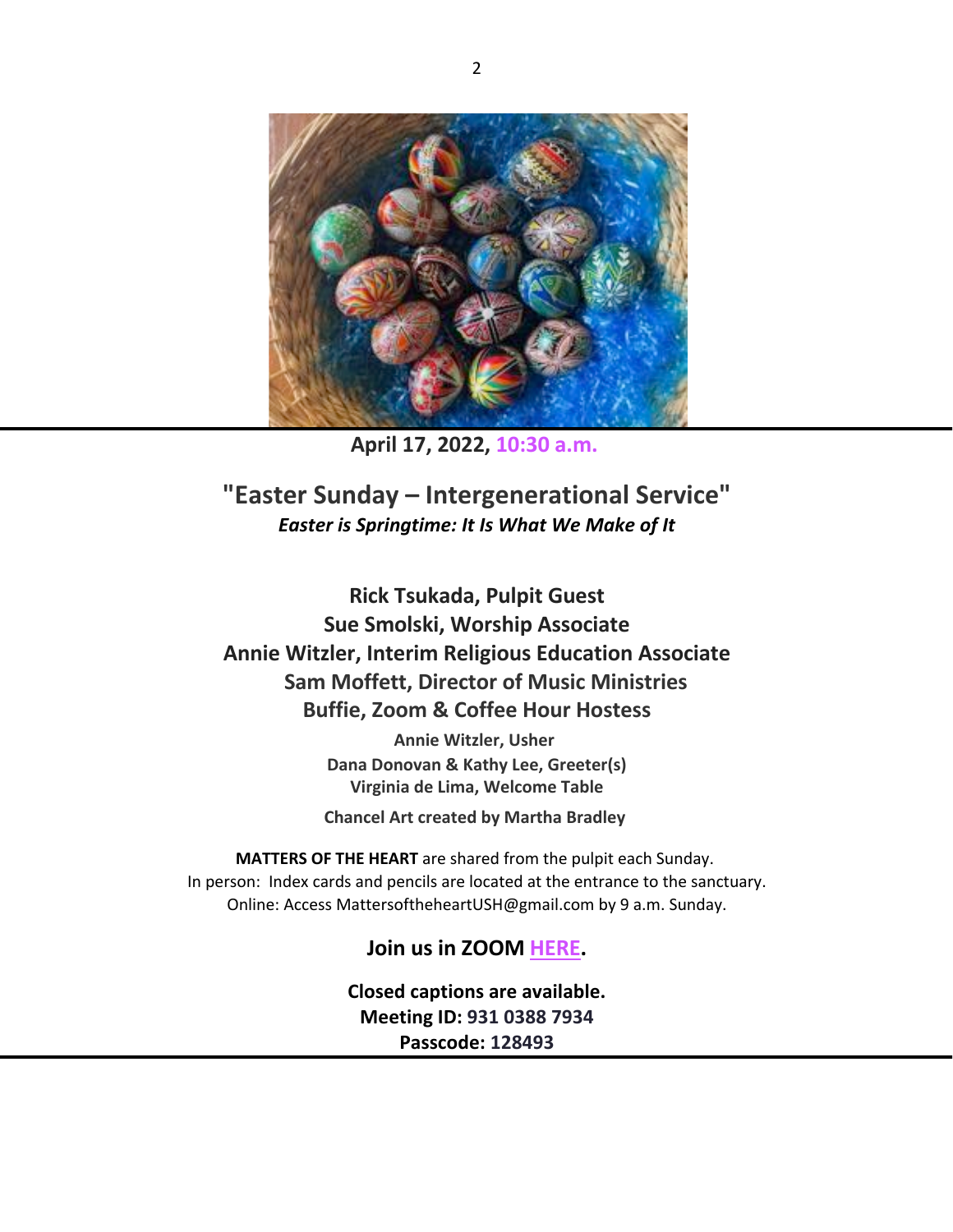

**April 17, 2022, 10:30 a.m.**

**"Easter Sunday – Intergenerational Service"** *Easter is Springtime: It Is What We Make of It*

**Rick Tsukada, Pulpit Guest Sue Smolski, Worship Associate Annie Witzler, Interim Religious Education Associate Sam Moffett, Director of Music Ministries Buffie, Zoom & Coffee Hour Hostess**

> **Annie Witzler, Usher Dana Donovan & Kathy Lee, Greeter(s) Virginia de Lima, Welcome Table**

> **Chancel Art created by Martha Bradley**

**MATTERS OF THE HEART** are shared from the pulpit each Sunday. In person: Index cards and pencils are located at the entrance to the sanctuary. Online: Access MattersoftheheartUSH@gmail.com by 9 a.m. Sunday.

**Join us in ZOOM HERE.**

**Closed captions are available. Meeting ID: 931 0388 7934 Passcode: 128493**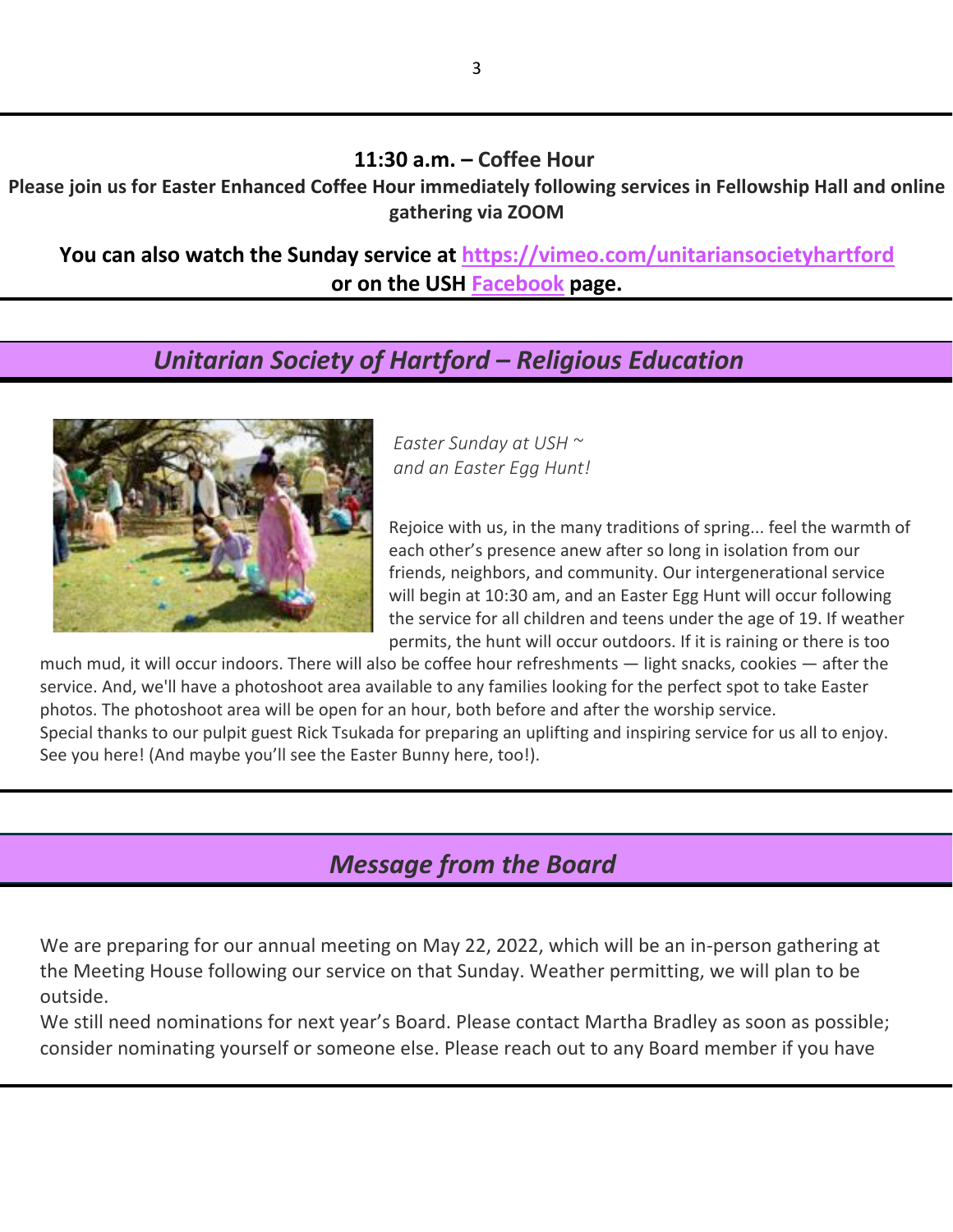### **11:30 a.m. – Coffee Hour**

**Please join us for Easter Enhanced Coffee Hour immediately following services in Fellowship Hall and online gathering via ZOOM**

**You can also watch the Sunday service at https://vimeo.com/unitariansocietyhartford or on the USH Facebook page.**

# *Unitarian Society of Hartford – Religious Education*



*Easter Sunday at USH ~ and an Easter Egg Hunt!*

Rejoice with us, in the many traditions of spring... feel the warmth of each other's presence anew after so long in isolation from our friends, neighbors, and community. Our intergenerational service will begin at 10:30 am, and an Easter Egg Hunt will occur following the service for all children and teens under the age of 19. If weather permits, the hunt will occur outdoors. If it is raining or there is too

much mud, it will occur indoors. There will also be coffee hour refreshments — light snacks, cookies — after the service. And, we'll have a photoshoot area available to any families looking for the perfect spot to take Easter photos. The photoshoot area will be open for an hour, both before and after the worship service. Special thanks to our pulpit guest Rick Tsukada for preparing an uplifting and inspiring service for us all to enjoy. See you here! (And maybe you'll see the Easter Bunny here, too!).

# *Message from the Board*

We are preparing for our annual meeting on May 22, 2022, which will be an in-person gathering at the Meeting House following our service on that Sunday. Weather permitting, we will plan to be outside.

We still need nominations for next year's Board. Please contact Martha Bradley as soon as possible; consider nominating yourself or someone else. Please reach out to any Board member if you have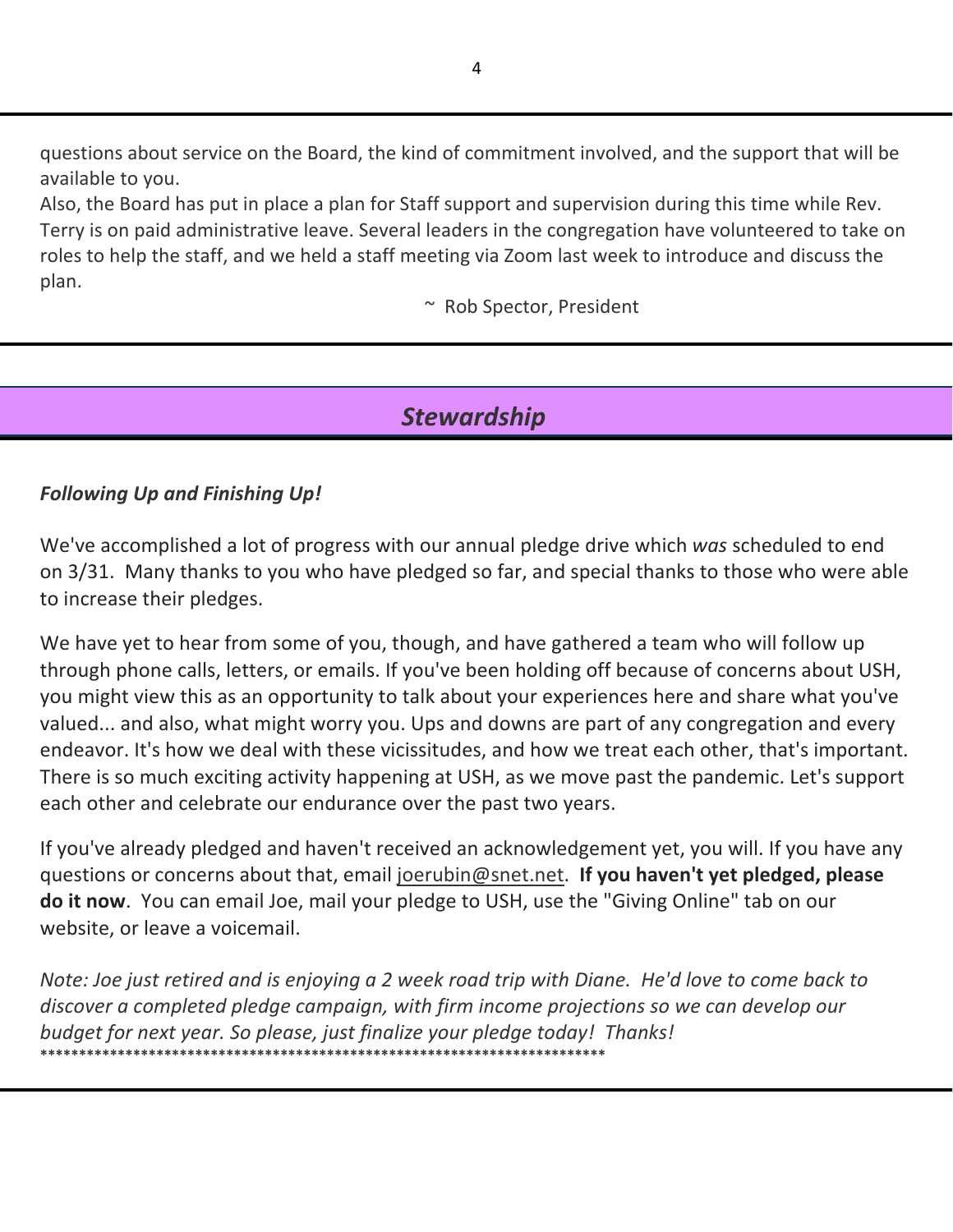questions about service on the Board, the kind of commitment involved, and the support that will be available to you.

Also, the Board has put in place a plan for Staff support and supervision during this time while Rev. Terry is on paid administrative leave. Several leaders in the congregation have volunteered to take on roles to help the staff, and we held a staff meeting via Zoom last week to introduce and discuss the plan.

~ Rob Spector, President

# *Stewardship*

### *Following Up and Finishing Up!*

We've accomplished a lot of progress with our annual pledge drive which *was* scheduled to end on 3/31. Many thanks to you who have pledged so far, and special thanks to those who were able to increase their pledges.

We have yet to hear from some of you, though, and have gathered a team who will follow up through phone calls, letters, or emails. If you've been holding off because of concerns about USH, you might view this as an opportunity to talk about your experiences here and share what you've valued... and also, what might worry you. Ups and downs are part of any congregation and every endeavor. It's how we deal with these vicissitudes, and how we treat each other, that's important. There is so much exciting activity happening at USH, as we move past the pandemic. Let's support each other and celebrate our endurance over the past two years.

If you've already pledged and haven't received an acknowledgement yet, you will. If you have any questions or concerns about that, email joerubin@snet.net. **If you haven't yet pledged, please do it now**. You can email Joe, mail your pledge to USH, use the "Giving Online" tab on our website, or leave a voicemail.

*Note: Joe just retired and is enjoying a 2 week road trip with Diane. He'd love to come back to discover a completed pledge campaign, with firm income projections so we can develop our budget for next year. So please, just finalize your pledge today! Thanks!* **\*\*\*\*\*\*\*\*\*\*\*\*\*\*\*\*\*\*\*\*\*\*\*\*\*\*\*\*\*\*\*\*\*\*\*\*\*\*\*\*\*\*\*\*\*\*\*\*\*\*\*\*\*\*\*\*\*\*\*\*\*\*\*\*\*\*\*\*\*\*\*\*\***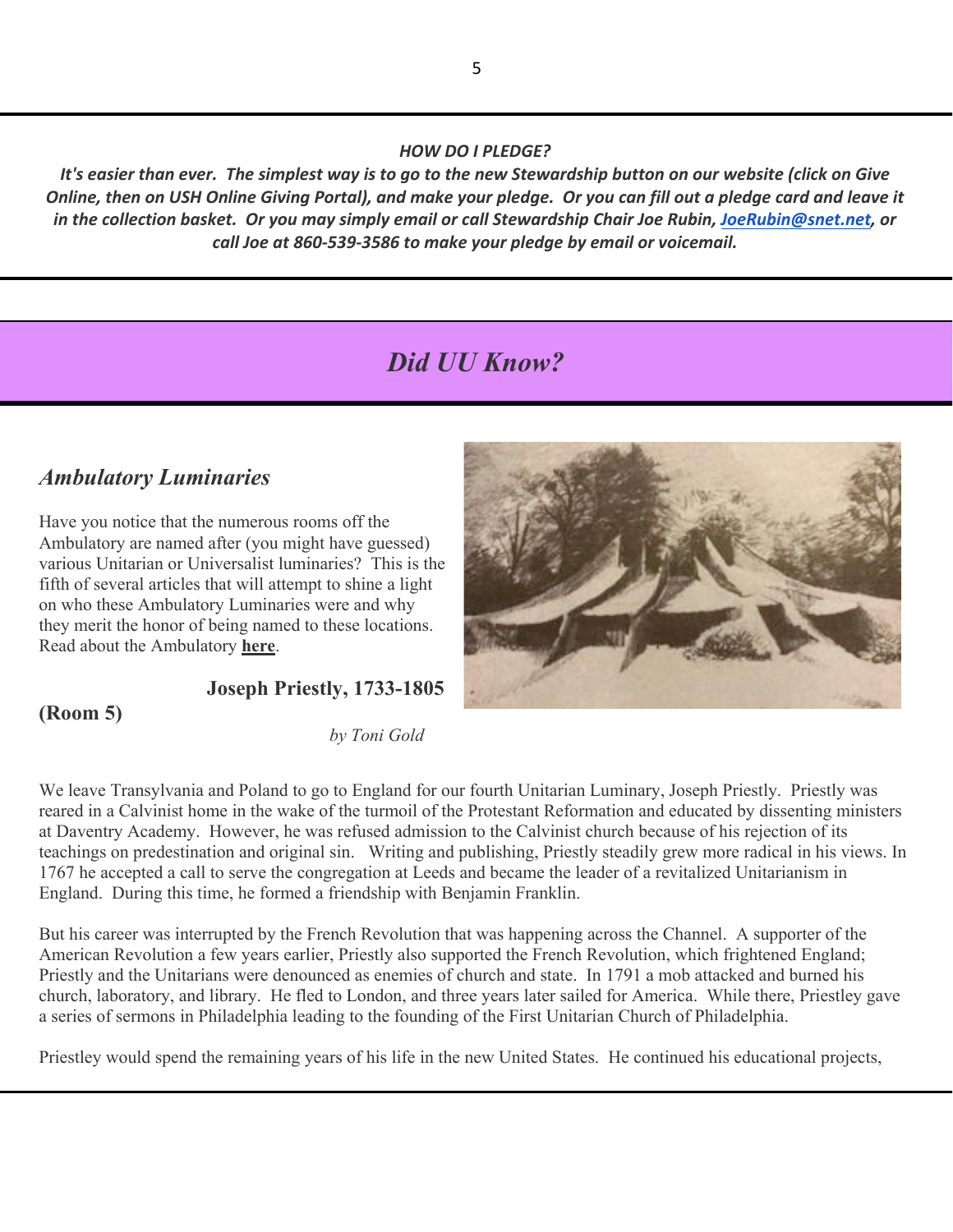#### *HOW DO I PLEDGE?*

5

*It's easier than ever. The simplest way is to go to the new Stewardship button on our website (click on Give Online, then on USH Online Giving Portal), and make your pledge. Or you can fill out a pledge card and leave it in the collection basket. Or you may simply email or call Stewardship Chair Joe Rubin, JoeRubin@snet.net, or call Joe at 860-539-3586 to make your pledge by email or voicemail.*

# *Did UU Know?*

# *Ambulatory Luminaries*

Have you notice that the numerous rooms off the Ambulatory are named after (you might have guessed) various Unitarian or Universalist luminaries? This is the fifth of several articles that will attempt to shine a light on who these Ambulatory Luminaries were and why they merit the honor of being named to these locations. Read about the Ambulatory **here**.

#### **Joseph Priestly, 1733-1805**

#### **(Room 5)**

*by Toni Gold*

We leave Transylvania and Poland to go to England for our fourth Unitarian Luminary, Joseph Priestly. Priestly was reared in a Calvinist home in the wake of the turmoil of the Protestant Reformation and educated by dissenting ministers at Daventry Academy. However, he was refused admission to the Calvinist church because of his rejection of its teachings on predestination and original sin. Writing and publishing, Priestly steadily grew more radical in his views. In 1767 he accepted a call to serve the congregation at Leeds and became the leader of a revitalized Unitarianism in England. During this time, he formed a friendship with Benjamin Franklin.

But his career was interrupted by the French Revolution that was happening across the Channel. A supporter of the American Revolution a few years earlier, Priestly also supported the French Revolution, which frightened England; Priestly and the Unitarians were denounced as enemies of church and state. In 1791 a mob attacked and burned his church, laboratory, and library. He fled to London, and three years later sailed for America. While there, Priestley gave a series of sermons in Philadelphia leading to the founding of the First Unitarian Church of Philadelphia.

Priestley would spend the remaining years of his life in the new United States. He continued his educational projects,



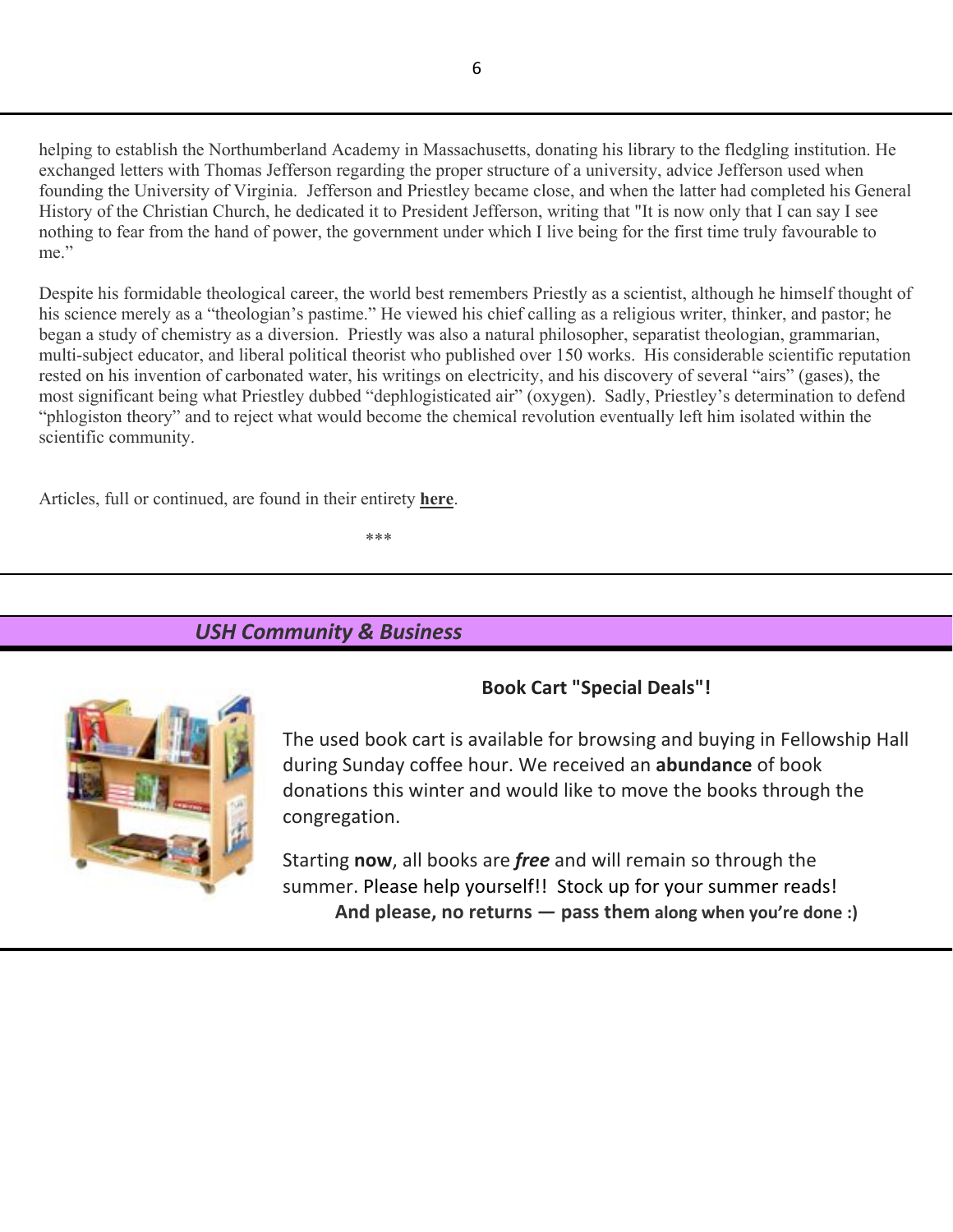helping to establish the Northumberland Academy in Massachusetts, donating his library to the fledgling institution. He exchanged letters with Thomas Jefferson regarding the proper structure of a university, advice Jefferson used when founding the University of Virginia. Jefferson and Priestley became close, and when the latter had completed his General History of the Christian Church, he dedicated it to President Jefferson, writing that "It is now only that I can say I see nothing to fear from the hand of power, the government under which I live being for the first time truly favourable to me."

Despite his formidable theological career, the world best remembers Priestly as a scientist, although he himself thought of his science merely as a "theologian's pastime." He viewed his chief calling as a religious writer, thinker, and pastor; he began a study of chemistry as a diversion. Priestly was also a natural philosopher, separatist theologian, grammarian, multi-subject educator, and liberal political theorist who published over 150 works. His considerable scientific reputation rested on his invention of carbonated water, his writings on electricity, and his discovery of several "airs" (gases), the most significant being what Priestley dubbed "dephlogisticated air" (oxygen). Sadly, Priestley's determination to defend "phlogiston theory" and to reject what would become the chemical revolution eventually left him isolated within the scientific community.

Articles, full or continued, are found in their entirety **here**.

\*\*\*

## *USH Community & Business*



## **Book Cart "Special Deals"!**

The used book cart is available for browsing and buying in Fellowship Hall during Sunday coffee hour. We received an **abundance** of book donations this winter and would like to move the books through the congregation.

Starting **now**, all books are *free* and will remain so through the summer. Please help yourself!! Stock up for your summer reads! **And please, no returns — pass them along when you're done :)**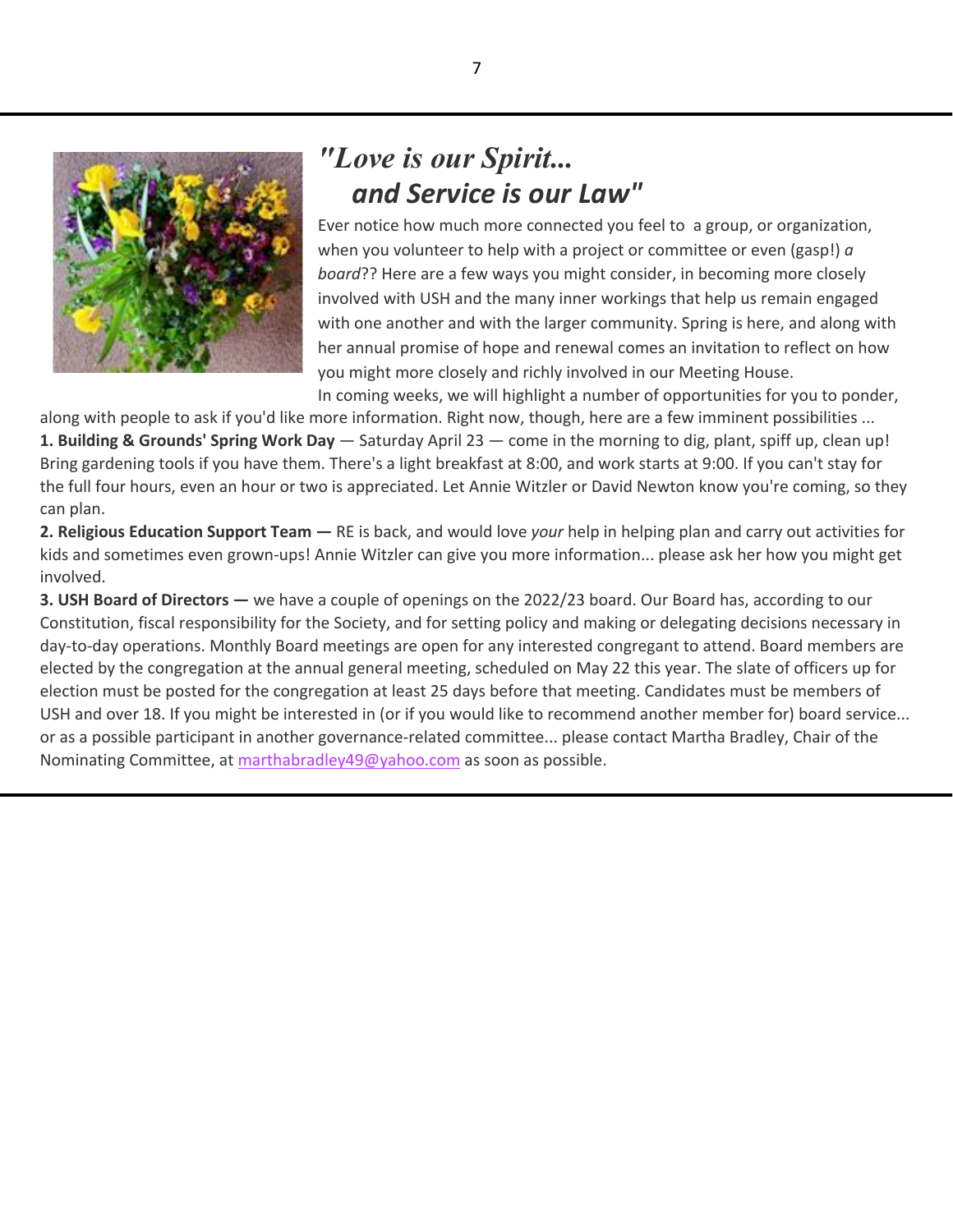

# *"Love is our Spirit... and Service is our Law"*

Ever notice how much more connected you feel to a group, or organization, when you volunteer to help with a project or committee or even (gasp!) *a board*?? Here are a few ways you might consider, in becoming more closely involved with USH and the many inner workings that help us remain engaged with one another and with the larger community. Spring is here, and along with her annual promise of hope and renewal comes an invitation to reflect on how you might more closely and richly involved in our Meeting House. In coming weeks, we will highlight a number of opportunities for you to ponder,

along with people to ask if you'd like more information. Right now, though, here are a few imminent possibilities ... **1. Building & Grounds' Spring Work Day** — Saturday April 23 — come in the morning to dig, plant, spiff up, clean up! Bring gardening tools if you have them. There's a light breakfast at 8:00, and work starts at 9:00. If you can't stay for the full four hours, even an hour or two is appreciated. Let Annie Witzler or David Newton know you're coming, so they can plan.

**2. Religious Education Support Team —** RE is back, and would love *your* help in helping plan and carry out activities for kids and sometimes even grown-ups! Annie Witzler can give you more information... please ask her how you might get involved.

**3. USH Board of Directors —** we have a couple of openings on the 2022/23 board. Our Board has, according to our Constitution, fiscal responsibility for the Society, and for setting policy and making or delegating decisions necessary in day-to-day operations. Monthly Board meetings are open for any interested congregant to attend. Board members are elected by the congregation at the annual general meeting, scheduled on May 22 this year. The slate of officers up for election must be posted for the congregation at least 25 days before that meeting. Candidates must be members of USH and over 18. If you might be interested in (or if you would like to recommend another member for) board service... or as a possible participant in another governance-related committee... please contact Martha Bradley, Chair of the Nominating Committee, at marthabradley49@yahoo.com as soon as possible.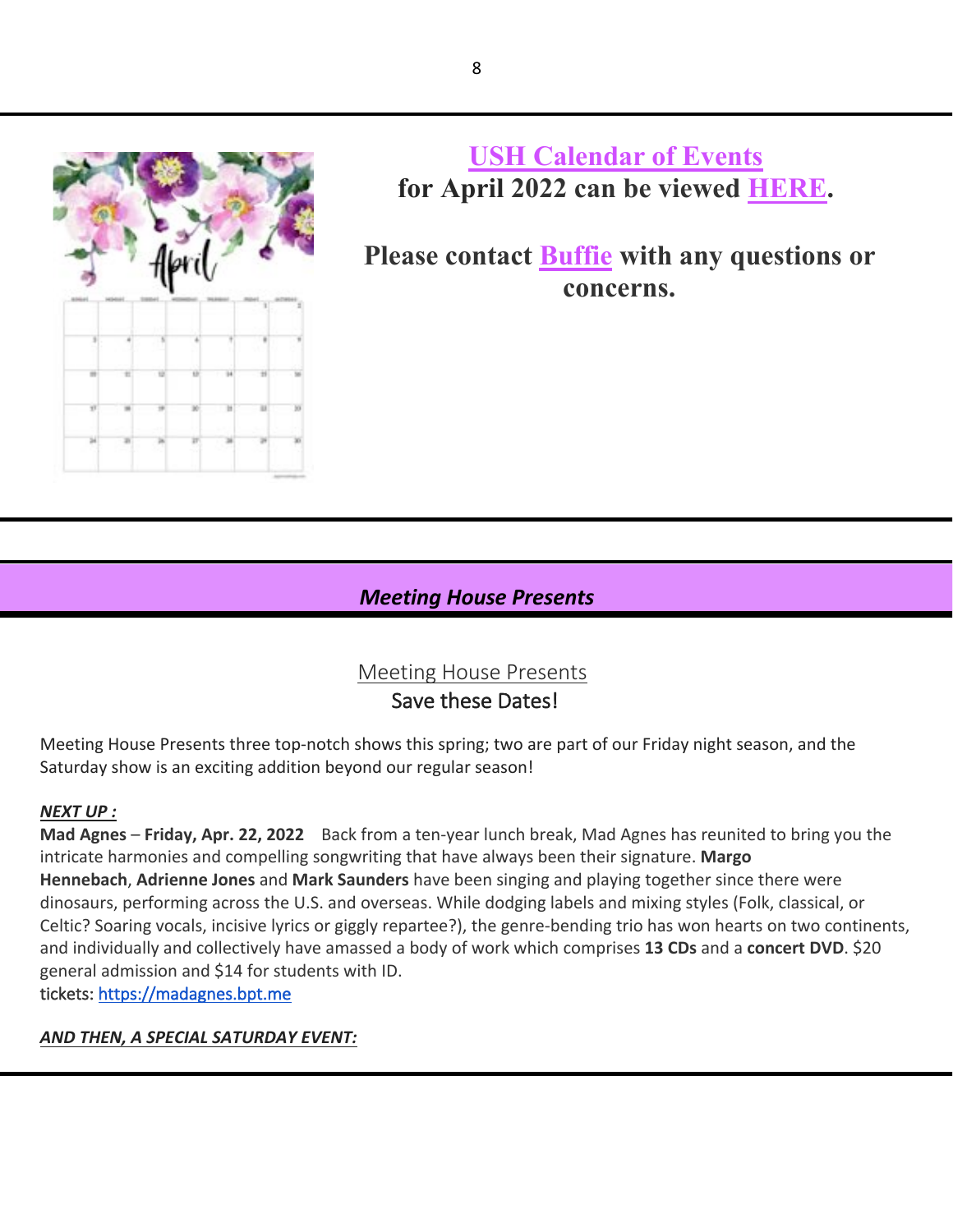

**USH Calendar of Events for April 2022 can be viewed HERE.**

**Please contact Buffie with any questions or concerns.**

# *Meeting House Presents*

# Meeting House Presents Save these Dates!

Meeting House Presents three top-notch shows this spring; two are part of our Friday night season, and the Saturday show is an exciting addition beyond our regular season!

#### *NEXT UP :*

**Mad Agnes** – **Friday, Apr. 22, 2022** Back from a ten-year lunch break, Mad Agnes has reunited to bring you the intricate harmonies and compelling songwriting that have always been their signature. **Margo Hennebach**, **Adrienne Jones** and **Mark Saunders** have been singing and playing together since there were dinosaurs, performing across the U.S. and overseas. While dodging labels and mixing styles (Folk, classical, or Celtic? Soaring vocals, incisive lyrics or giggly repartee?), the genre-bending trio has won hearts on two continents, and individually and collectively have amassed a body of work which comprises **13 CDs** and a **concert DVD**. \$20 general admission and \$14 for students with ID.

tickets: https://madagnes.bpt.me

#### *AND THEN, A SPECIAL SATURDAY EVENT:*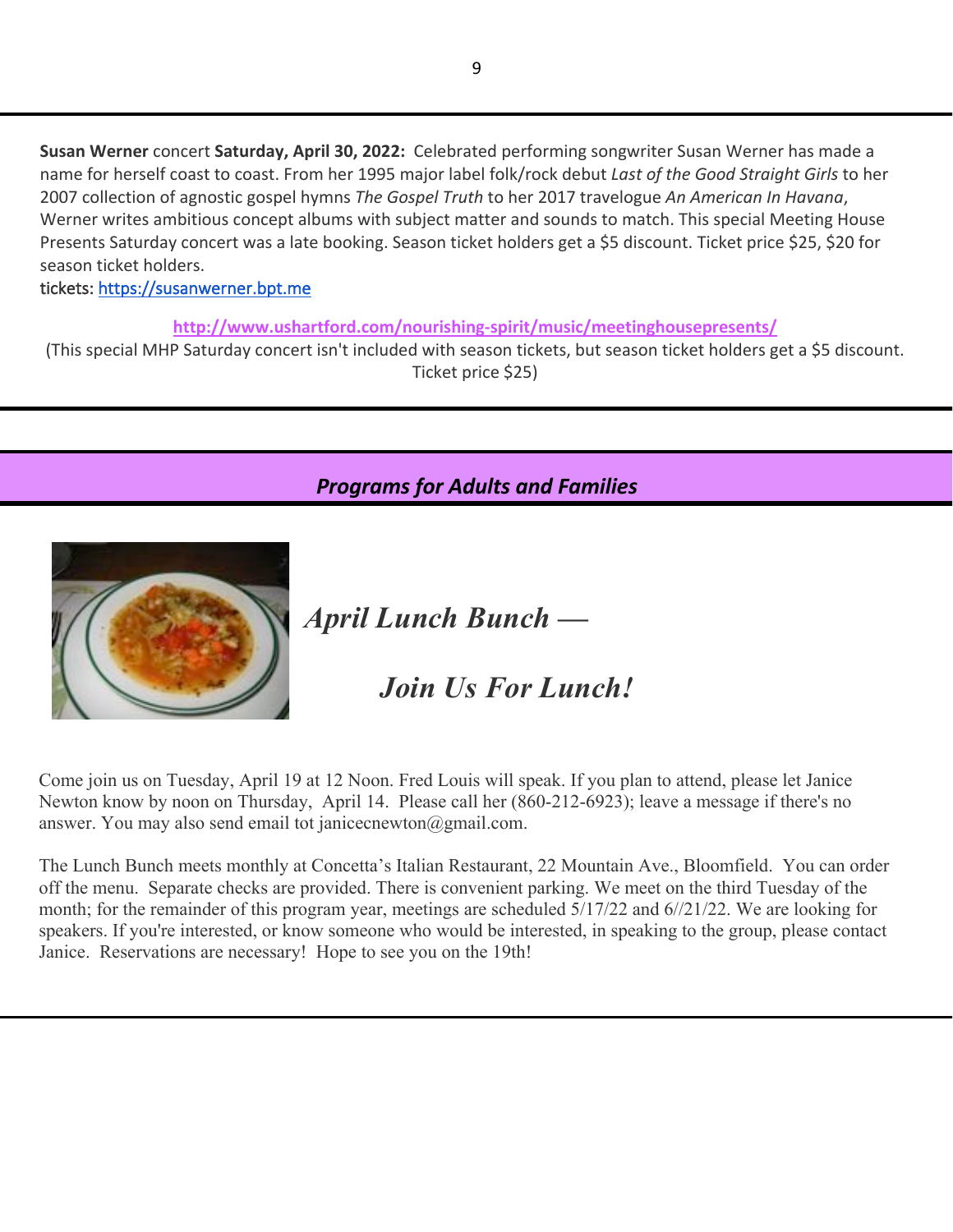**Susan Werner** concert **Saturday, April 30, 2022:** Celebrated performing songwriter Susan Werner has made a name for herself coast to coast. From her 1995 major label folk/rock debut *Last of the Good Straight Girls* to her 2007 collection of agnostic gospel hymns *The Gospel Truth* to her 2017 travelogue *An American In Havana*, Werner writes ambitious concept albums with subject matter and sounds to match. This special Meeting House Presents Saturday concert was a late booking. Season ticket holders get a \$5 discount. Ticket price \$25, \$20 for season ticket holders.

tickets: https://susanwerner.bpt.me

**http://www.ushartford.com/nourishing-spirit/music/meetinghousepresents/**

(This special MHP Saturday concert isn't included with season tickets, but season ticket holders get a \$5 discount. Ticket price \$25)

*Programs for Adults and Families*



*April Lunch Bunch —*

# *Join Us For Lunch!*

Come join us on Tuesday, April 19 at 12 Noon. Fred Louis will speak. If you plan to attend, please let Janice Newton know by noon on Thursday, April 14. Please call her (860-212-6923); leave a message if there's no answer. You may also send email tot janicecnewton@gmail.com.

The Lunch Bunch meets monthly at Concetta's Italian Restaurant, 22 Mountain Ave., Bloomfield. You can order off the menu. Separate checks are provided. There is convenient parking. We meet on the third Tuesday of the month; for the remainder of this program year, meetings are scheduled 5/17/22 and 6//21/22. We are looking for speakers. If you're interested, or know someone who would be interested, in speaking to the group, please contact Janice. Reservations are necessary! Hope to see you on the 19th!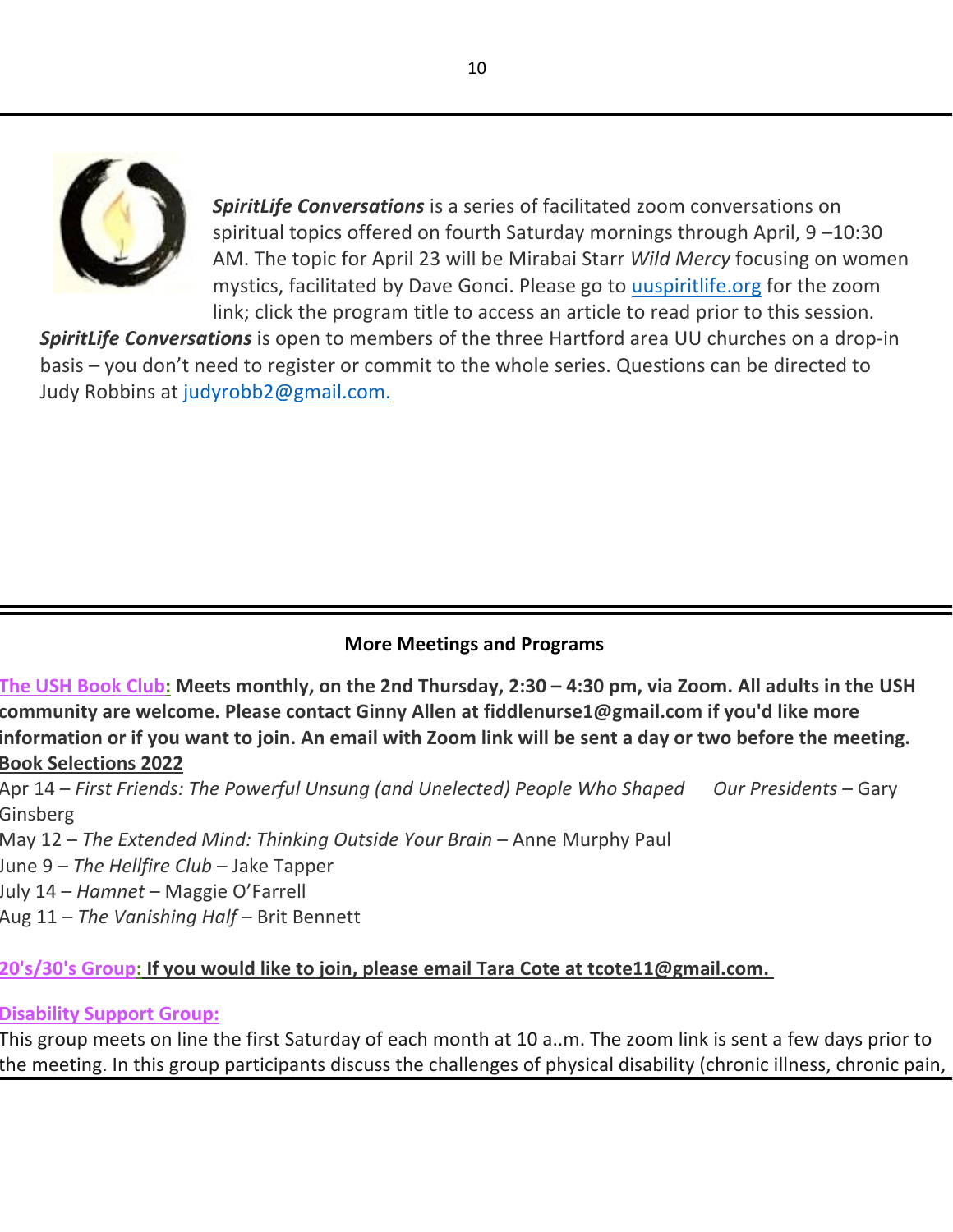

*SpiritLife Conversations* is a series of facilitated zoom conversations on spiritual topics offered on fourth Saturday mornings through April, 9 –10:30 AM. The topic for April 23 will be Mirabai Starr *Wild Mercy* focusing on women mystics, facilitated by Dave Gonci. Please go to uuspiritlife.org for the zoom link; click the program title to access an article to read prior to this session.

*SpiritLife Conversations* is open to members of the three Hartford area UU churches on a drop-in basis – you don't need to register or commit to the whole series. Questions can be directed to Judy Robbins at judyrobb2@gmail.com.

### **More Meetings and Programs**

**The USH Book Club: Meets monthly, on the 2nd Thursday, 2:30 – 4:30 pm, via Zoom. All adults in the USH community are welcome. Please contact Ginny Allen at fiddlenurse1@gmail.com if you'd like more information or if you want to join. An email with Zoom link will be sent a day or two before the meeting. Book Selections 2022**

Apr 14 – *First Friends: The Powerful Unsung (and Unelected) People Who Shaped Our Presidents* – Gary Ginsberg

May 12 – *The Extended Mind: Thinking Outside Your Brain* – Anne Murphy Paul

June 9 – *The Hellfire Club* – Jake Tapper

July 14 – *Hamnet* – Maggie O'Farrell

Aug 11 – *The Vanishing Half* – Brit Bennett

## **20's/30's Group: If you would like to join, please email Tara Cote at tcote11@gmail.com.**

### **Disability Support Group:**

This group meets on line the first Saturday of each month at 10 a..m. The zoom link is sent a few days prior to the meeting. In this group participants discuss the challenges of physical disability (chronic illness, chronic pain,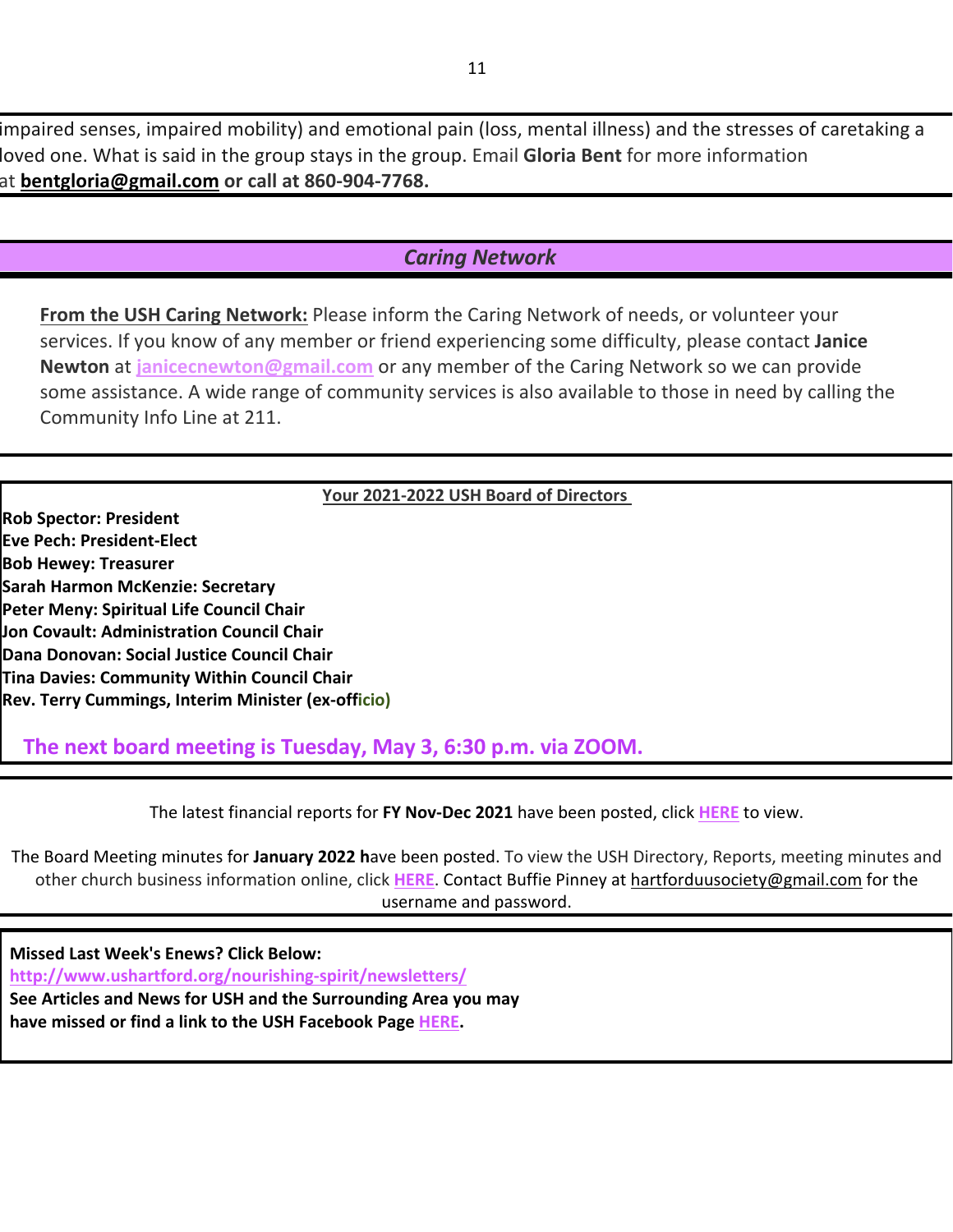impaired senses, impaired mobility) and emotional pain (loss, mental illness) and the stresses of caretaking a loved one. What is said in the group stays in the group. Email **Gloria Bent** for more information at **bentgloria@gmail.com or call at 860-904-7768.**

## *Caring Network*

**From the USH Caring Network:** Please inform the Caring Network of needs, or volunteer your services. If you know of any member or friend experiencing some difficulty, please contact **Janice Newton** at **janicecnewton@gmail.com** or any member of the Caring Network so we can provide some assistance. A wide range of community services is also available to those in need by calling the Community Info Line at 211.

#### **Your 2021-2022 USH Board of Directors**

- **Rob Spector: President**
- **Eve Pech: President-Elect**
- **Bob Hewey: Treasurer**
- **Sarah Harmon McKenzie: Secretary**
- **Peter Meny: Spiritual Life Council Chair**
- **Jon Covault: Administration Council Chair**
- **Dana Donovan: Social Justice Council Chair**
- **Tina Davies: Community Within Council Chair**
- **Rev. Terry Cummings, Interim Minister (ex-officio)**

 **The next board meeting is Tuesday, May 3, 6:30 p.m. via ZOOM.**

The latest financial reports for **FY Nov-Dec 2021** have been posted, click **HERE** to view.

The Board Meeting minutes for **January 2022 h**ave been posted. To view the USH Directory, Reports, meeting minutes and other church business information online, click **HERE**. Contact Buffie Pinney at hartforduusociety@gmail.com for the username and password.

**Missed Last Week's Enews? Click Below: http://www.ushartford.org/nourishing-spirit/newsletters/ See Articles and News for USH and the Surrounding Area you may have missed or find a link to the USH Facebook Page HERE.**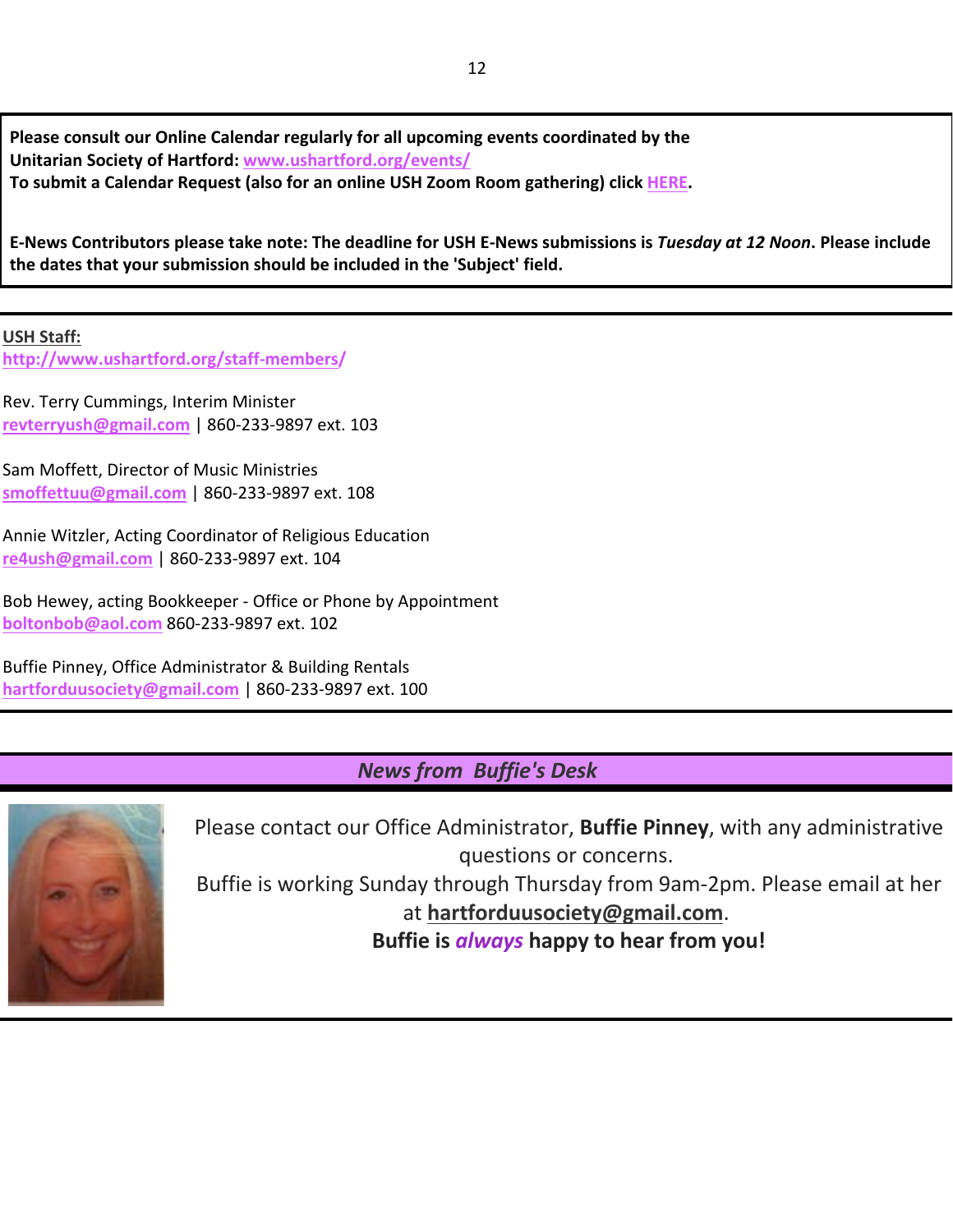**Please consult our Online Calendar regularly for all upcoming events coordinated by the Unitarian Society of Hartford: www.ushartford.org/events/ To submit a Calendar Request (also for an online USH Zoom Room gathering) click HERE.**

**E-News Contributors please take note: The deadline for USH E-News submissions is** *Tuesday at 12 Noon***. Please include the dates that your submission should be included in the 'Subject' field.**

**USH Staff: http://www.ushartford.org/staff-members/**

Rev. Terry Cummings, Interim Minister **revterryush@gmail.com** | 860-233-9897 ext. 103

Sam Moffett, Director of Music Ministries **smoffettuu@gmail.com** | 860-233-9897 ext. 108

Annie Witzler, Acting Coordinator of Religious Education **re4ush@gmail.com** | 860-233-9897 ext. 104

Bob Hewey, acting Bookkeeper - Office or Phone by Appointment **boltonbob@aol.com** 860-233-9897 ext. 102

Buffie Pinney, Office Administrator & Building Rentals **hartforduusociety@gmail.com** | 860-233-9897 ext. 100

## *News from Buffie's Desk*



Please contact our Office Administrator, **Buffie Pinney**, with any administrative questions or concerns.

Buffie is working Sunday through Thursday from 9am-2pm. Please email at her at **hartforduusociety@gmail.com**.

**Buffie is** *always* **happy to hear from you!**